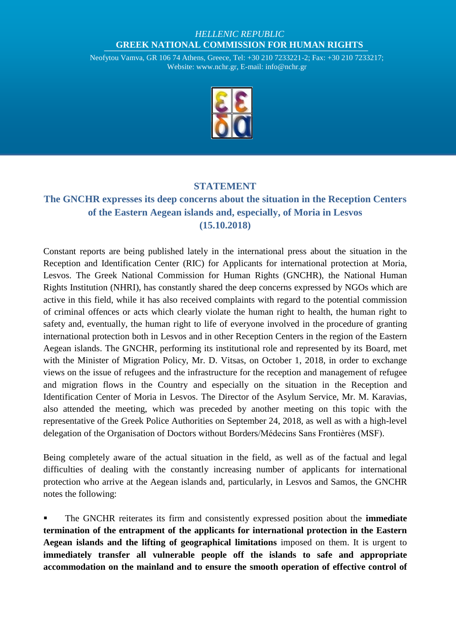## *HELLENIC REPUBLIC* **GREEK NATIONAL COMMISSION FOR HUMAN RIGHTS**

Neofytou Vamva, GR 106 74 Athens, Greece, Tel: +30 210 7233221-2; Fax: +30 210 7233217; Website: [www.nchr.gr,](http://www.nchr.gr/) E-mail[: info@nchr.gr](mailto:info@nchr.gr)



## **STATEMENT**

## **The GNCHR expresses its deep concerns about the situation in the Reception Centers of the Eastern Aegean islands and, especially, of Moria in Lesvos (15.10.2018)**

Constant reports are being published lately in the international press about the situation in the Reception and Identification Center (RIC) for Applicants for international protection at Moria, Lesvos. The Greek National Commission for Human Rights (GNCHR), the National Human Rights Institution (NHRI), has constantly shared the deep concerns expressed by NGOs which are active in this field, while it has also received complaints with regard to the potential commission of criminal offences or acts which clearly violate the human right to health, the human right to safety and, eventually, the human right to life of everyone involved in the procedure of granting international protection both in Lesvos and in other Reception Centers in the region of the Eastern Aegean islands. The GNCHR, performing its institutional role and represented by its Board, met with the Minister of Migration Policy, Mr. D. Vitsas, on October 1, 2018, in order to exchange views on the issue of refugees and the infrastructure for the reception and management of refugee and migration flows in the Country and especially on the situation in the Reception and Identification Center of Moria in Lesvos. The Director of the Asylum Service, Mr. M. Karavias, also attended the meeting, which was preceded by another meeting on this topic with the representative of the Greek Police Authorities on September 24, 2018, as well as with a high-level delegation of the Organisation of Doctors without Borders/Médecins Sans Frontières (MSF).

Being completely aware of the actual situation in the field, as well as of the factual and legal difficulties of dealing with the constantly increasing number of applicants for international protection who arrive at the Aegean islands and, particularly, in Lesvos and Samos, the GNCHR notes the following:

 The GNCHR reiterates its firm and consistently expressed position about the **immediate termination of the entrapment of the applicants for international protection in the Eastern Aegean islands and the lifting of geographical limitations** imposed on them. It is urgent to **immediately transfer all vulnerable people off the islands to safe and appropriate accommodation on the mainland and to ensure the smooth operation of effective control of**